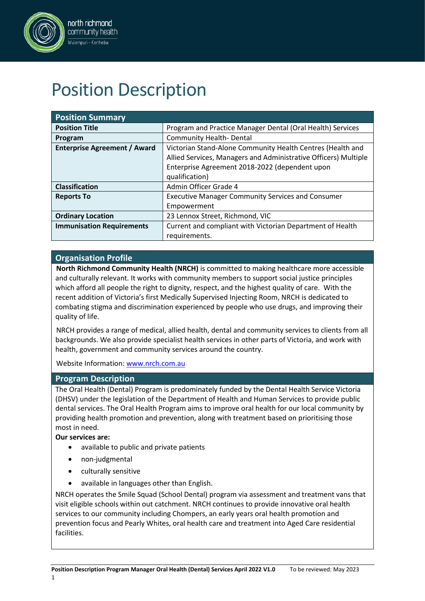

#### north richmond community health .<br>Wulempuri - Kertheba

# Position Description

| <b>Position Summary</b>             |                                                                 |
|-------------------------------------|-----------------------------------------------------------------|
| <b>Position Title</b>               | Program and Practice Manager Dental (Oral Health) Services      |
| Program                             | <b>Community Health-Dental</b>                                  |
| <b>Enterprise Agreement / Award</b> | Victorian Stand-Alone Community Health Centres (Health and      |
|                                     | Allied Services, Managers and Administrative Officers) Multiple |
|                                     | Enterprise Agreement 2018-2022 (dependent upon                  |
|                                     | qualification)                                                  |
| <b>Classification</b>               | Admin Officer Grade 4                                           |
| <b>Reports To</b>                   | <b>Executive Manager Community Services and Consumer</b>        |
|                                     | Empowerment                                                     |
| <b>Ordinary Location</b>            | 23 Lennox Street, Richmond, VIC                                 |
| <b>Immunisation Requirements</b>    | Current and compliant with Victorian Department of Health       |
|                                     | requirements.                                                   |

# **Organisation Profile**

**North Richmond Community Health (NRCH)** is committed to making healthcare more accessible and culturally relevant. It works with community members to support social justice principles which afford all people the right to dignity, respect, and the highest quality of care. With the recent addition of Victoria's first Medically Supervised Injecting Room, NRCH is dedicated to combating stigma and discrimination experienced by people who use drugs, and improving their quality of life.

NRCH provides a range of medical, allied health, dental and community services to clients from all backgrounds. We also provide specialist health services in other parts of Victoria, and work with health, government and community services around the country.

Website Information: [www.nrch.com.au](http://www.nrch.com.au/)

# **Program Description**

The Oral Health (Dental) Program is predominately funded by the Dental Health Service Victoria (DHSV) under the legislation of the Department of Health and Human Services to provide public dental services. The Oral Health Program aims to improve oral health for our local community by providing health promotion and prevention, along with treatment based on prioritising those most in need.

**Our services are:**

- available to public and private patients
- non-judgmental
- culturally sensitive
- available in languages other than English.

NRCH operates the Smile Squad (School Dental) program via assessment and treatment vans that visit eligible schools within out catchment. NRCH continues to provide innovative oral health services to our community including Chompers, an early years oral health promotion and prevention focus and Pearly Whites, oral health care and treatment into Aged Care residential facilities.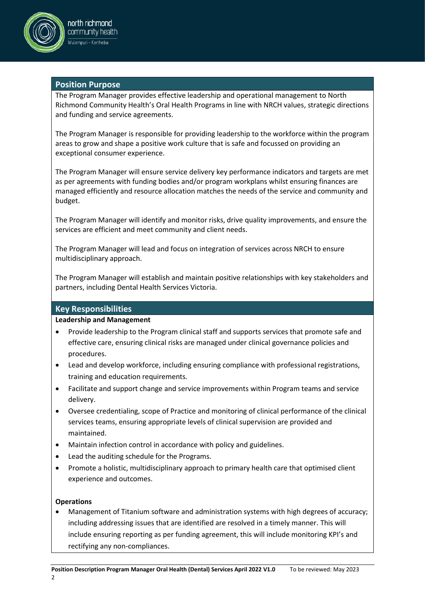

# **Position Purpose**

The Program Manager provides effective leadership and operational management to North Richmond Community Health's Oral Health Programs in line with NRCH values, strategic directions and funding and service agreements.

The Program Manager is responsible for providing leadership to the workforce within the program areas to grow and shape a positive work culture that is safe and focussed on providing an exceptional consumer experience.

The Program Manager will ensure service delivery key performance indicators and targets are met as per agreements with funding bodies and/or program workplans whilst ensuring finances are managed efficiently and resource allocation matches the needs of the service and community and budget.

The Program Manager will identify and monitor risks, drive quality improvements, and ensure the services are efficient and meet community and client needs.

The Program Manager will lead and focus on integration of services across NRCH to ensure multidisciplinary approach.

The Program Manager will establish and maintain positive relationships with key stakeholders and partners, including Dental Health Services Victoria.

# **Key Responsibilities**

#### **Leadership and Management**

- Provide leadership to the Program clinical staff and supports services that promote safe and effective care, ensuring clinical risks are managed under clinical governance policies and procedures.
- Lead and develop workforce, including ensuring compliance with professional registrations, training and education requirements.
- Facilitate and support change and service improvements within Program teams and service delivery.
- Oversee credentialing, scope of Practice and monitoring of clinical performance of the clinical services teams, ensuring appropriate levels of clinical supervision are provided and maintained.
- Maintain infection control in accordance with policy and guidelines.
- Lead the auditing schedule for the Programs.
- Promote a holistic, multidisciplinary approach to primary health care that optimised client experience and outcomes.

#### **Operations**

• Management of Titanium software and administration systems with high degrees of accuracy; including addressing issues that are identified are resolved in a timely manner. This will include ensuring reporting as per funding agreement, this will include monitoring KPI's and rectifying any non-compliances.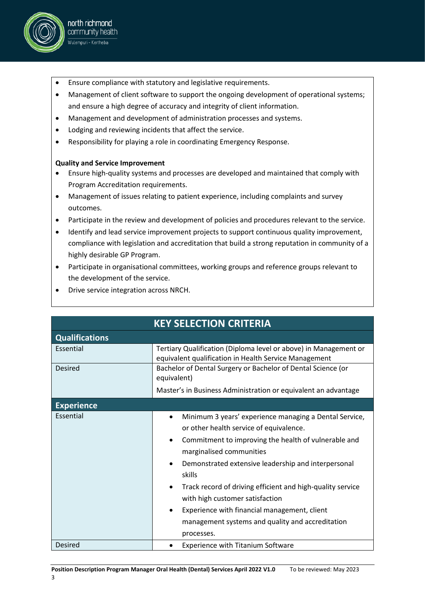

- north richmond community health .<br>Wulempuri - Kertheba
- Ensure compliance with statutory and legislative requirements.
- Management of client software to support the ongoing development of operational systems; and ensure a high degree of accuracy and integrity of client information.
- Management and development of administration processes and systems.
- Lodging and reviewing incidents that affect the service.
- Responsibility for playing a role in coordinating Emergency Response.

# **Quality and Service Improvement**

- Ensure high-quality systems and processes are developed and maintained that comply with Program Accreditation requirements.
- Management of issues relating to patient experience, including complaints and survey outcomes.
- Participate in the review and development of policies and procedures relevant to the service.
- Identify and lead service improvement projects to support continuous quality improvement, compliance with legislation and accreditation that build a strong reputation in community of a highly desirable GP Program.
- Participate in organisational committees, working groups and reference groups relevant to the development of the service.
- Drive service integration across NRCH.

| <b>KEY SELECTION CRITERIA</b> |                                                                                                                                                                                                                                                                                                                                                                                                                                                                                                                            |  |  |  |  |
|-------------------------------|----------------------------------------------------------------------------------------------------------------------------------------------------------------------------------------------------------------------------------------------------------------------------------------------------------------------------------------------------------------------------------------------------------------------------------------------------------------------------------------------------------------------------|--|--|--|--|
| <b>Qualifications</b>         |                                                                                                                                                                                                                                                                                                                                                                                                                                                                                                                            |  |  |  |  |
| Essential                     | Tertiary Qualification (Diploma level or above) in Management or<br>equivalent qualification in Health Service Management                                                                                                                                                                                                                                                                                                                                                                                                  |  |  |  |  |
| <b>Desired</b>                | Bachelor of Dental Surgery or Bachelor of Dental Science (or<br>equivalent)                                                                                                                                                                                                                                                                                                                                                                                                                                                |  |  |  |  |
|                               | Master's in Business Administration or equivalent an advantage                                                                                                                                                                                                                                                                                                                                                                                                                                                             |  |  |  |  |
| <b>Experience</b>             |                                                                                                                                                                                                                                                                                                                                                                                                                                                                                                                            |  |  |  |  |
| Essential                     | Minimum 3 years' experience managing a Dental Service,<br>$\bullet$<br>or other health service of equivalence.<br>Commitment to improving the health of vulnerable and<br>$\bullet$<br>marginalised communities<br>Demonstrated extensive leadership and interpersonal<br>٠<br>skills<br>Track record of driving efficient and high-quality service<br>$\bullet$<br>with high customer satisfaction<br>Experience with financial management, client<br>٠<br>management systems and quality and accreditation<br>processes. |  |  |  |  |
| Desired                       | <b>Experience with Titanium Software</b>                                                                                                                                                                                                                                                                                                                                                                                                                                                                                   |  |  |  |  |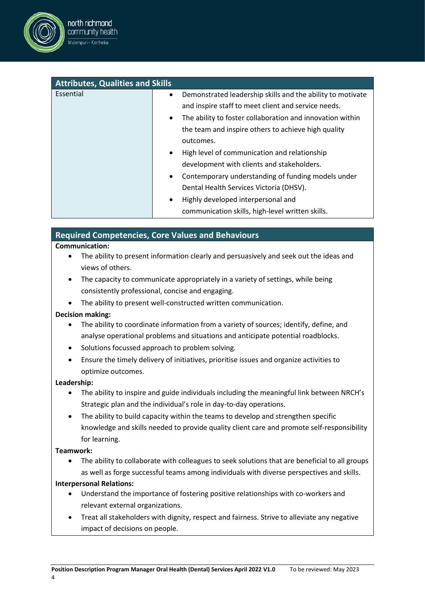

| <b>Attributes, Qualities and Skills</b> |                                                                         |  |  |  |  |  |  |
|-----------------------------------------|-------------------------------------------------------------------------|--|--|--|--|--|--|
| Essential                               | Demonstrated leadership skills and the ability to motivate<br>$\bullet$ |  |  |  |  |  |  |
|                                         | and inspire staff to meet client and service needs.                     |  |  |  |  |  |  |
|                                         | The ability to foster collaboration and innovation within<br>$\bullet$  |  |  |  |  |  |  |
|                                         | the team and inspire others to achieve high quality                     |  |  |  |  |  |  |
|                                         | outcomes.                                                               |  |  |  |  |  |  |
|                                         | High level of communication and relationship<br>$\bullet$               |  |  |  |  |  |  |
|                                         | development with clients and stakeholders.                              |  |  |  |  |  |  |
|                                         | Contemporary understanding of funding models under<br>$\bullet$         |  |  |  |  |  |  |
|                                         | Dental Health Services Victoria (DHSV).                                 |  |  |  |  |  |  |
|                                         | Highly developed interpersonal and<br>$\bullet$                         |  |  |  |  |  |  |
|                                         | communication skills, high-level written skills.                        |  |  |  |  |  |  |

# **Required Competencies, Core Values and Behaviours**

#### **Communication:**

- The ability to present information clearly and persuasively and seek out the ideas and views of others.
- The capacity to communicate appropriately in a variety of settings, while being consistently professional, concise and engaging.
- The ability to present well-constructed written communication.

# **Decision making:**

- The ability to coordinate information from a variety of sources; identify, define, and analyse operational problems and situations and anticipate potential roadblocks.
- Solutions focussed approach to problem solving.
- Ensure the timely delivery of initiatives, prioritise issues and organize activities to optimize outcomes.

# **Leadership:**

- The ability to inspire and guide individuals including the meaningful link between NRCH's Strategic plan and the individual's role in day-to-day operations.
- The ability to build capacity within the teams to develop and strengthen specific knowledge and skills needed to provide quality client care and promote self-responsibility for learning.

# **Teamwork:**

• The ability to collaborate with colleagues to seek solutions that are beneficial to all groups as well as forge successful teams among individuals with diverse perspectives and skills.

# **Interpersonal Relations:**

- Understand the importance of fostering positive relationships with co-workers and relevant external organizations.
- Treat all stakeholders with dignity, respect and fairness. Strive to alleviate any negative impact of decisions on people.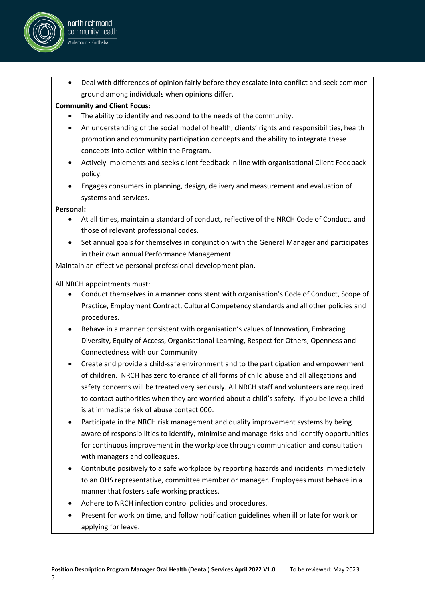

# **Community and Client Focus:**

north richmond community health .<br>Wulempuri - Kertheba

- The ability to identify and respond to the needs of the community.
- An understanding of the social model of health, clients' rights and responsibilities, health promotion and community participation concepts and the ability to integrate these concepts into action within the Program.
- Actively implements and seeks client feedback in line with organisational Client Feedback policy.
- Engages consumers in planning, design, delivery and measurement and evaluation of systems and services.

# **Personal:**

- At all times, maintain a standard of conduct, reflective of the NRCH Code of Conduct, and those of relevant professional codes.
- Set annual goals for themselves in conjunction with the General Manager and participates in their own annual Performance Management.

Maintain an effective personal professional development plan.

All NRCH appointments must:

- Conduct themselves in a manner consistent with organisation's Code of Conduct, Scope of Practice, Employment Contract, Cultural Competency standards and all other policies and procedures.
- Behave in a manner consistent with organisation's values of Innovation, Embracing Diversity, Equity of Access, Organisational Learning, Respect for Others, Openness and Connectedness with our Community
- Create and provide a child-safe environment and to the participation and empowerment of children. NRCH has zero tolerance of all forms of child abuse and all allegations and safety concerns will be treated very seriously. All NRCH staff and volunteers are required to contact authorities when they are worried about a child's safety. If you believe a child is at immediate risk of abuse contact 000.
- Participate in the NRCH risk management and quality improvement systems by being aware of responsibilities to identify, minimise and manage risks and identify opportunities for continuous improvement in the workplace through communication and consultation with managers and colleagues.
- Contribute positively to a safe workplace by reporting hazards and incidents immediately to an OHS representative, committee member or manager. Employees must behave in a manner that fosters safe working practices.
- Adhere to NRCH infection control policies and procedures.
- Present for work on time, and follow notification guidelines when ill or late for work or applying for leave.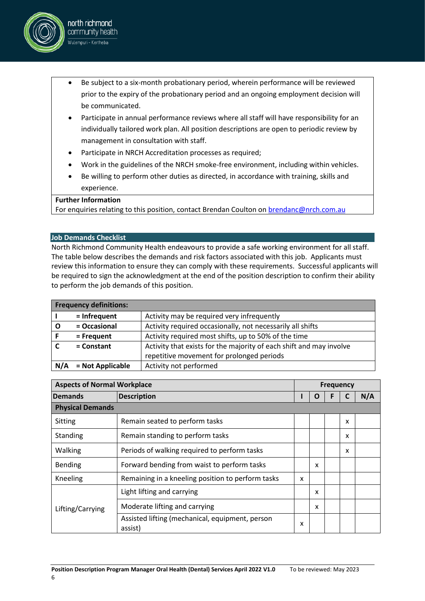

- Participate in annual performance reviews where all staff will have responsibility for an individually tailored work plan. All position descriptions are open to periodic review by management in consultation with staff.
- Participate in NRCH Accreditation processes as required;
- Work in the guidelines of the NRCH smoke-free environment, including within vehicles.
- Be willing to perform other duties as directed, in accordance with training, skills and experience.

#### **Further Information**

north richmond community health .<br>Wulempuri - Kertheba

For enquiries relating to this position, contact Brendan Coulton on [brendanc@nrch.com.au](mailto:brendanc@nrch.com.au)

#### **Job Demands Checklist**

North Richmond Community Health endeavours to provide a safe working environment for all staff. The table below describes the demands and risk factors associated with this job. Applicants must review this information to ensure they can comply with these requirements. Successful applicants will be required to sign the acknowledgment at the end of the position description to confirm their ability to perform the job demands of this position.

|     | <b>Frequency definitions:</b> |                                                                     |
|-----|-------------------------------|---------------------------------------------------------------------|
|     | $=$ Infrequent                | Activity may be required very infrequently                          |
|     | = Occasional                  | Activity required occasionally, not necessarily all shifts          |
|     | $=$ Frequent                  | Activity required most shifts, up to 50% of the time                |
|     | $=$ Constant                  | Activity that exists for the majority of each shift and may involve |
|     |                               | repetitive movement for prolonged periods                           |
| N/A | = Not Applicable              | Activity not performed                                              |

| <b>Aspects of Normal Workplace</b> |                                                            | <b>Frequency</b>          |   |  |   |     |
|------------------------------------|------------------------------------------------------------|---------------------------|---|--|---|-----|
| <b>Demands</b>                     | <b>Description</b>                                         |                           | O |  |   | N/A |
| <b>Physical Demands</b>            |                                                            |                           |   |  |   |     |
| Sitting                            | Remain seated to perform tasks                             |                           |   |  | x |     |
| Standing                           | Remain standing to perform tasks                           |                           |   |  | x |     |
| Walking                            | Periods of walking required to perform tasks               |                           |   |  | x |     |
| Bending                            | Forward bending from waist to perform tasks                |                           | x |  |   |     |
| Kneeling                           | Remaining in a kneeling position to perform tasks          | $\boldsymbol{\mathsf{x}}$ |   |  |   |     |
| Lifting/Carrying                   | Light lifting and carrying                                 |                           | x |  |   |     |
|                                    | Moderate lifting and carrying                              |                           | X |  |   |     |
|                                    | Assisted lifting (mechanical, equipment, person<br>assist) | x                         |   |  |   |     |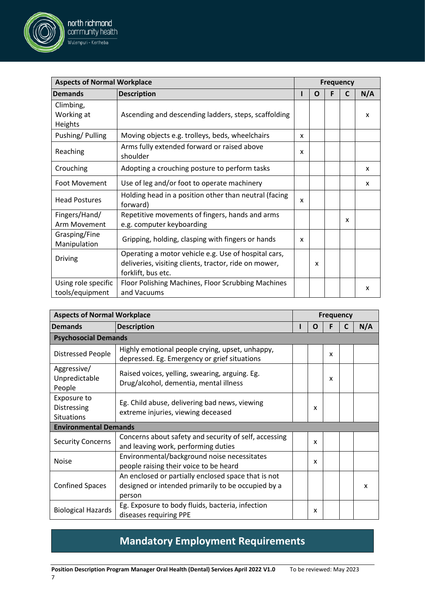

north richmond community health .<br>Wulempuri - Kertheba

| <b>Aspects of Normal Workplace</b>              |                                                                                                                     | <b>Frequency</b> |   |   |  |     |
|-------------------------------------------------|---------------------------------------------------------------------------------------------------------------------|------------------|---|---|--|-----|
| <b>Demands</b>                                  | <b>Description</b>                                                                                                  |                  | O | F |  | N/A |
| <b>Psychosocial Demands</b>                     |                                                                                                                     |                  |   |   |  |     |
| <b>Distressed People</b>                        | Highly emotional people crying, upset, unhappy,<br>depressed. Eg. Emergency or grief situations                     |                  |   | x |  |     |
| Aggressive/<br>Unpredictable<br>People          | Raised voices, yelling, swearing, arguing. Eg.<br>Drug/alcohol, dementia, mental illness                            |                  |   | x |  |     |
| Exposure to<br>Distressing<br><b>Situations</b> | Eg. Child abuse, delivering bad news, viewing<br>extreme injuries, viewing deceased                                 |                  | X |   |  |     |
| <b>Environmental Demands</b>                    |                                                                                                                     |                  |   |   |  |     |
| <b>Security Concerns</b>                        | Concerns about safety and security of self, accessing<br>and leaving work, performing duties                        |                  | X |   |  |     |
| <b>Noise</b>                                    | Environmental/background noise necessitates<br>people raising their voice to be heard                               |                  | X |   |  |     |
| <b>Confined Spaces</b>                          | An enclosed or partially enclosed space that is not<br>designed or intended primarily to be occupied by a<br>person |                  |   |   |  | x   |
| <b>Biological Hazards</b>                       | Eg. Exposure to body fluids, bacteria, infection<br>diseases requiring PPE                                          |                  | x |   |  |     |

# **Mandatory Employment Requirements**